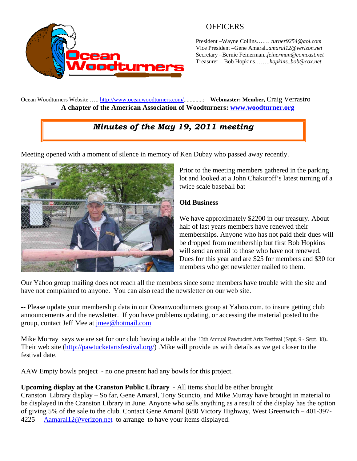

# **OFFICERS**

President –Wayne Collins….… *turner9254@aol.com*  Vice President –Gene Amaral..*amaral12@verizon.net* Secretary –Bernie Feinerman*..feinerman@comcast.net*  Treasurer – Bob Hopkins……..*hopkins\_bob@cox.net*

Ocean Woodturners Website ….. <http://www.oceanwoodturners.com/>.............: **Webmaster: Member,** Craig Verrastro **A chapter of the American Association of Woodturners: [www.woodturner.org](http://www.woodturner.org/)** 

# *Minutes of the May 19, 2011 meeting*

Meeting opened with a moment of silence in memory of Ken Dubay who passed away recently.



Prior to the meeting members gathered in the parking lot and looked at a John Chakuroff's latest turning of a twice scale baseball bat

### **Old Business**

We have approximately \$2200 in our treasury. About half of last years members have renewed their memberships. Anyone who has not paid their dues will be dropped from membership but first Bob Hopkins will send an email to those who have not renewed. Dues for this year and are \$25 for members and \$3 0 for members who get newsletter mailed to them.

Our Yahoo group mailing does not reach all the members since some members have trouble with the site and have not complained to anyone. You can also read the newsletter on our web site.

-- Please update your membership data in our Oceanwoodturners group at Yahoo.com. to insure getting club announcements and the newsletter. If you have problems updating, or accessing the material posted to the group, contact Jeff Mee at [jmee@hotmail.com](mailto:jmee@hotmail.com)

Mike Murray says we are set for our club having a table at the 13th Annual Pawtucket Arts Festival (Sept. 9 - Sept. 18)**.**  Their web site ([http://pawtucketartsfestival.org/\)](http://pawtucketartsfestival.org/) .Mike will provide us with details as we get closer to the festival date.

AAW Empty bowls project - no one present had any bowls for this project.

### **Upcoming display at the Cranston Public Library** - All items should be either brought

Cranston Library display – So far, Gene Amaral, Tony Scuncio, and Mike Murray have brought in material to be displayed in the Cranston Library in June. Anyone who sells anything as a result of the display has the option of giving 5% of the sale to the club. Contact Gene Amaral (680 Victory Highway, West Greenwich – 401-397- 4225 [Aamaral12@verizon.net](mailto:Aamaral12@verizon.net) to arrange to have your items displayed.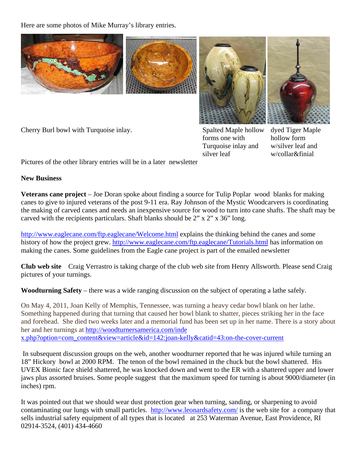Here are some photos of Mike Murray's library entries.





Cherry Burl bowl with Turquoise inlay. Spalted Maple hollow

forms one with Turquoise inlay and silver leaf

dyed Tiger Maple hollow form w/silver leaf and w/collar&finial

Pictures of the other library entries will be in a later newsletter

#### **New Business**

**Veterans cane project** – Joe Doran spoke about finding a source for Tulip Poplar wood blanks for making canes to give to injured veterans of the post 9-11 era. Ray Johnson of the Mystic Woodcarvers is coordinating the making of carved canes and needs an inexpensive source for wood to turn into cane shafts. The shaft may be carved with the recipients particulars. Shaft blanks should be 2" x 2" x 36" long.

<http://www.eaglecane.com/ftp.eaglecane/Welcome.html>explains the thinking behind the canes and some history of how the project grew. <http://www.eaglecane.com/ftp.eaglecane/Tutorials.html> has information on making the canes. Some guidelines from the Eagle cane project is part of the emailed newsletter

**Club web site** Craig Verrastro is taking charge of the club web site from Henry Allsworth. Please send Craig pictures of your turnings.

**Woodturning Safety** – there was a wide ranging discussion on the subject of operating a lathe safely.

On May 4, 2011, Joan Kelly of Memphis, Tennessee, was turning a heavy cedar bowl blank on her lathe. Something happened during that turning that caused her bowl blank to shatter, pieces striking her in the face and forehead. She died two weeks later and a memorial fund has been set up in her name. There is a story about her and her turnings at [http://woodturnersamerica.com/inde](http://woodturnersamerica.com/inde%20x.php?option=com_content&view=article&id=142:joan-kelly&catid=43:on-the-cover-current) [x.php?option=com\\_content&view=article&id=142:joan-kelly&catid=43:on-the-cover-current](http://woodturnersamerica.com/inde%20x.php?option=com_content&view=article&id=142:joan-kelly&catid=43:on-the-cover-current)

 In subsequent discussion groups on the web, another woodturner reported that he was injured while turning an 18" Hickory bowl at 2000 RPM. The tenon of the bowl remained in the chuck but the bowl shattered. His UVEX Bionic face shield shattered, he was knocked down and went to the ER with a shattered upper and lower jaws plus assorted bruises. Some people suggest that the maximum speed for turning is about 9000/diameter (in inches) rpm.

It was pointed out that we should wear dust protection gear when turning, sanding, or sharpening to avoid contaminating our lungs with small particles. <http://www.leonardsafety.com/>is the web site for a company that sells industrial safety equipment of all types that is located at 253 Waterman Avenue, East Providence, RI 02914-3524, (401) 434-4660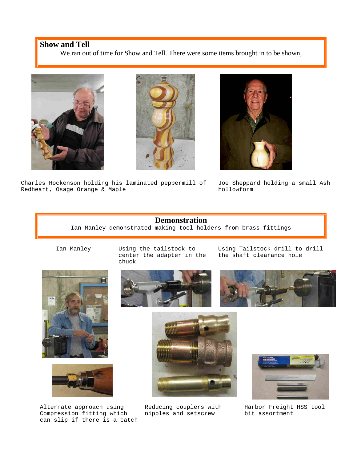#### **Show and Tell**

We ran out of time for Show and Tell. There were some items brought in to be shown,







Charles Hockenson holding his laminated peppermill of Redheart, Osage Orange & Maple

Joe Sheppard holding a small Ash hollowform

#### **Demonstration**

Ian Manley demonstrated making tool holders from brass fittings





Alternate approach using Compression fitting which can slip if there is a catch

Ian Manley Using the tailstock to center the adapter in the chuck

Using Tailstock drill to drill the shaft clearance hole





Reducing couplers with nipples and setscrew



Harbor Freight HSS tool bit assortment